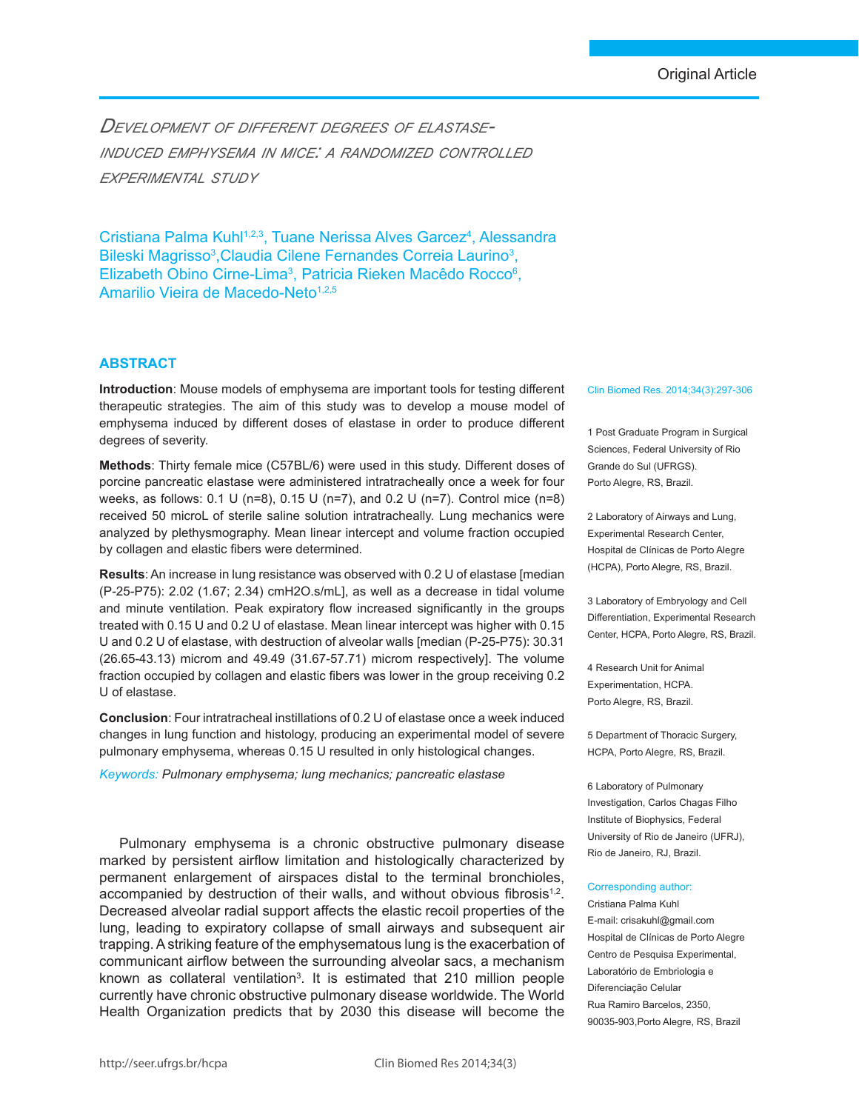*Development of different degrees of elastaseinduced emphysema in mice: a randomized controlled experimental study*

Cristiana Palma Kuhl<sup>1,2,3</sup>, Tuane Nerissa Alves Garcez<sup>4</sup>, Alessandra Bileski Magrisso<sup>3</sup>, Claudia Cilene Fernandes Correia Laurino<sup>3</sup>, Elizabeth Obino Cirne-Lima<sup>3</sup>, Patricia Rieken Macêdo Rocco<sup>6</sup>, Amarilio Vieira de Macedo-Neto<sup>1,2,5</sup>

# **Abstract**

**Introduction**: Mouse models of emphysema are important tools for testing different therapeutic strategies. The aim of this study was to develop a mouse model of emphysema induced by different doses of elastase in order to produce different degrees of severity.

**Methods**: Thirty female mice (C57BL/6) were used in this study. Different doses of porcine pancreatic elastase were administered intratracheally once a week for four weeks, as follows: 0.1 U (n=8), 0.15 U (n=7), and 0.2 U (n=7). Control mice (n=8) received 50 microL of sterile saline solution intratracheally. Lung mechanics were analyzed by plethysmography. Mean linear intercept and volume fraction occupied by collagen and elastic fibers were determined.

**Results**: An increase in lung resistance was observed with 0.2 U of elastase [median (P-25-P75): 2.02 (1.67; 2.34) cmH2O.s/mL], as well as a decrease in tidal volume and minute ventilation. Peak expiratory flow increased significantly in the groups treated with 0.15 U and 0.2 U of elastase. Mean linear intercept was higher with 0.15 U and 0.2 U of elastase, with destruction of alveolar walls [median (P-25-P75): 30.31  $(26.65-43.13)$  microm and  $49.49$   $(31.67-57.71)$  microm respectively]. The volume fraction occupied by collagen and elastic fibers was lower in the group receiving 0.2 U of elastase.

**Conclusion**: Four intratracheal instillations of 0.2 U of elastase once a week induced changes in lung function and histology, producing an experimental model of severe pulmonary emphysema, whereas 0.15 U resulted in only histological changes.

*Keywords: Pulmonary emphysema; lung mechanics; pancreatic elastase*

Pulmonary emphysema is a chronic obstructive pulmonary disease marked by persistent airflow limitation and histologically characterized by permanent enlargement of airspaces distal to the terminal bronchioles, accompanied by destruction of their walls, and without obvious fibrosis<sup>1,2</sup>. Decreased alveolar radial support affects the elastic recoil properties of the lung, leading to expiratory collapse of small airways and subsequent air trapping. A striking feature of the emphysematous lung is the exacerbation of communicant airflow between the surrounding alveolar sacs, a mechanism known as collateral ventilation<sup>3</sup>. It is estimated that 210 million people currently have chronic obstructive pulmonary disease worldwide. The World Health Organization predicts that by 2030 this disease will become the

#### Clin Biomed Res. 2014;34(3):297-306

1 Post Graduate Program in Surgical Sciences, Federal University of Rio Grande do Sul (UFRGS). Porto Alegre, RS, Brazil.

2 Laboratory of Airways and Lung, Experimental Research Center, Hospital de Clínicas de Porto Alegre (HCPA), Porto Alegre, RS, Brazil.

3 Laboratory of Embryology and Cell Differentiation, Experimental Research Center, HCPA, Porto Alegre, RS, Brazil.

4 Research Unit for Animal Experimentation, HCPA. Porto Alegre, RS, Brazil.

5 Department of Thoracic Surgery, HCPA, Porto Alegre, RS, Brazil.

6 Laboratory of Pulmonary Investigation, Carlos Chagas Filho Institute of Biophysics, Federal University of Rio de Janeiro (UFRJ), Rio de Janeiro, RJ, Brazil.

# Corresponding author:

Cristiana Palma Kuhl E-mail: crisakuhl@gmail.com Hospital de Clínicas de Porto Alegre Centro de Pesquisa Experimental, Laboratório de Embriologia e Diferenciação Celular Rua Ramiro Barcelos, 2350, 90035-903,Porto Alegre, RS, Brazil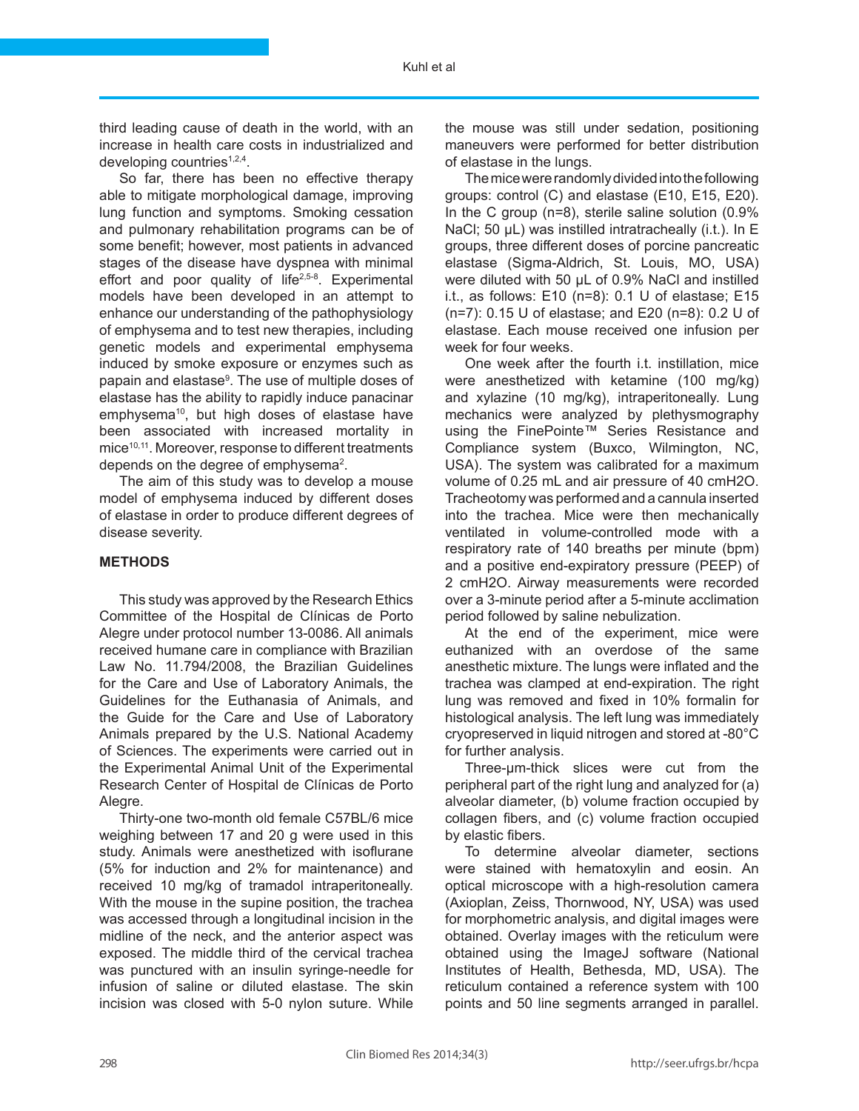third leading cause of death in the world, with an increase in health care costs in industrialized and developing countries<sup>1,2,4</sup>.

So far, there has been no effective therapy able to mitigate morphological damage, improving lung function and symptoms. Smoking cessation and pulmonary rehabilitation programs can be of some benefit; however, most patients in advanced stages of the disease have dyspnea with minimal effort and poor quality of life<sup>2,5-8</sup>. Experimental models have been developed in an attempt to enhance our understanding of the pathophysiology of emphysema and to test new therapies, including genetic models and experimental emphysema induced by smoke exposure or enzymes such as papain and elastase<sup>9</sup>. The use of multiple doses of elastase has the ability to rapidly induce panacinar emphysema<sup>10</sup>, but high doses of elastase have been associated with increased mortality in mice<sup>10,11</sup>. Moreover, response to different treatments depends on the degree of emphysema<sup>2</sup>.

The aim of this study was to develop a mouse model of emphysema induced by different doses of elastase in order to produce different degrees of disease severity.

# **Methods**

This study was approved by the Research Ethics Committee of the Hospital de Clínicas de Porto Alegre under protocol number 13-0086. All animals received humane care in compliance with Brazilian Law No. 11.794/2008, the Brazilian Guidelines for the Care and Use of Laboratory Animals, the Guidelines for the Euthanasia of Animals, and the Guide for the Care and Use of Laboratory Animals prepared by the U.S. National Academy of Sciences. The experiments were carried out in the Experimental Animal Unit of the Experimental Research Center of Hospital de Clínicas de Porto Alegre.

Thirty-one two-month old female C57BL/6 mice weighing between 17 and 20 g were used in this study. Animals were anesthetized with isoflurane (5% for induction and 2% for maintenance) and received 10 mg/kg of tramadol intraperitoneally. With the mouse in the supine position, the trachea was accessed through a longitudinal incision in the midline of the neck, and the anterior aspect was exposed. The middle third of the cervical trachea was punctured with an insulin syringe-needle for infusion of saline or diluted elastase. The skin incision was closed with 5-0 nylon suture. While

the mouse was still under sedation, positioning maneuvers were performed for better distribution of elastase in the lungs.

The mice were randomly divided into the following groups: control (C) and elastase (E10, E15, E20). In the C group (n=8), sterile saline solution (0.9% NaCI; 50 µL) was instilled intratracheally (i.t.). In E groups, three different doses of porcine pancreatic elastase (Sigma-Aldrich, St. Louis, MO, USA) were diluted with 50 µL of 0.9% NaCl and instilled i.t., as follows: E10 (n=8): 0.1 U of elastase; E15 (n=7): 0.15 U of elastase; and E20 (n=8): 0.2 U of elastase. Each mouse received one infusion per week for four weeks.

One week after the fourth i.t. instillation, mice were anesthetized with ketamine (100 mg/kg) and xylazine (10 mg/kg), intraperitoneally. Lung mechanics were analyzed by plethysmography using the FinePointe™ Series Resistance and Compliance system (Buxco, Wilmington, NC, USA). The system was calibrated for a maximum volume of 0.25 mL and air pressure of 40 cmH2O. Tracheotomy was performed and a cannula inserted into the trachea. Mice were then mechanically ventilated in volume-controlled mode with a respiratory rate of 140 breaths per minute (bpm) and a positive end-expiratory pressure (PEEP) of 2 cmH2O. Airway measurements were recorded over a 3-minute period after a 5-minute acclimation period followed by saline nebulization.

At the end of the experiment, mice were euthanized with an overdose of the same anesthetic mixture. The lungs were inflated and the trachea was clamped at end-expiration. The right lung was removed and fixed in 10% formalin for histological analysis. The left lung was immediately cryopreserved in liquid nitrogen and stored at -80°C for further analysis.

Three-μm-thick slices were cut from the peripheral part of the right lung and analyzed for (a) alveolar diameter, (b) volume fraction occupied by collagen fibers, and (c) volume fraction occupied by elastic fibers.

To determine alveolar diameter, sections were stained with hematoxylin and eosin. An optical microscope with a high-resolution camera (Axioplan, Zeiss, Thornwood, NY, USA) was used for morphometric analysis, and digital images were obtained. Overlay images with the reticulum were obtained using the ImageJ software (National Institutes of Health, Bethesda, MD, USA). The reticulum contained a reference system with 100 points and 50 line segments arranged in parallel.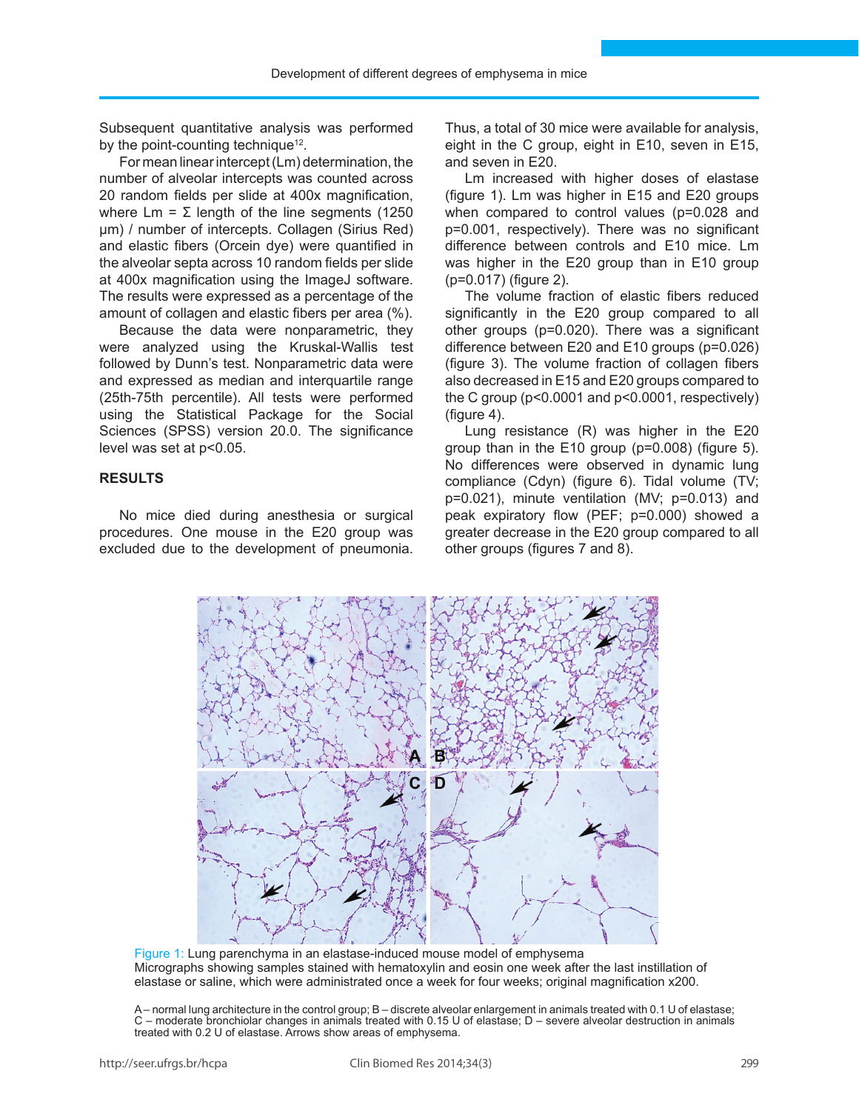Subsequent quantitative analysis was performed by the point-counting technique<sup>12</sup>.

For mean linear intercept (Lm) determination, the number of alveolar intercepts was counted across 20 random fields per slide at 400x magnification, where  $\text{Lm} = \Sigma$  length of the line segments (1250 μm) / number of intercepts. Collagen (Sirius Red) and elastic fibers (Orcein dye) were quantified in the alveolar septa across 10 random fields per slide at 400x magnification using the ImageJ software. The results were expressed as a percentage of the amount of collagen and elastic fibers per area (%).

Because the data were nonparametric, they were analyzed using the Kruskal-Wallis test followed by Dunn's test. Nonparametric data were and expressed as median and interquartile range (25th-75th percentile). All tests were performed using the Statistical Package for the Social Sciences (SPSS) version 20.0. The significance level was set at p<0.05.

# **Results**

No mice died during anesthesia or surgical procedures. One mouse in the E20 group was excluded due to the development of pneumonia.

Thus, a total of 30 mice were available for analysis, eight in the C group, eight in E10, seven in E15, and seven in E20.

Lm increased with higher doses of elastase (figure 1). Lm was higher in E15 and E20 groups when compared to control values (p=0.028 and p=0.001, respectively). There was no significant difference between controls and E10 mice. Lm was higher in the E20 group than in E10 group (p=0.017) (figure 2).

The volume fraction of elastic fibers reduced significantly in the E20 group compared to all other groups (p=0.020). There was a significant difference between E20 and E10 groups (p=0.026) (figure 3). The volume fraction of collagen fibers also decreased in E15 and E20 groups compared to the C group (p<0.0001 and p<0.0001, respectively) (figure 4).

Lung resistance (R) was higher in the E20 group than in the E10 group (p=0.008) (figure 5). No differences were observed in dynamic lung compliance (Cdyn) (figure 6). Tidal volume (TV; p=0.021), minute ventilation (MV; p=0.013) and peak expiratory flow (PEF; p=0.000) showed a greater decrease in the E20 group compared to all other groups (figures 7 and 8).



Figure 1: Lung parenchyma in an elastase-induced mouse model of emphysema Micrographs showing samples stained with hematoxylin and eosin one week after the last instillation of elastase or saline, which were administrated once a week for four weeks; original magnification x200.

A – normal lung architecture in the control group; B – discrete alveolar enlargement in animals treated with 0.1 U of elastase; C – moderate bronchiolar changes in animals treated with 0.15 U of elastase; D – severe alveolar destruction in animals treated with 0.2 U of elastase. Arrows show areas of emphysema.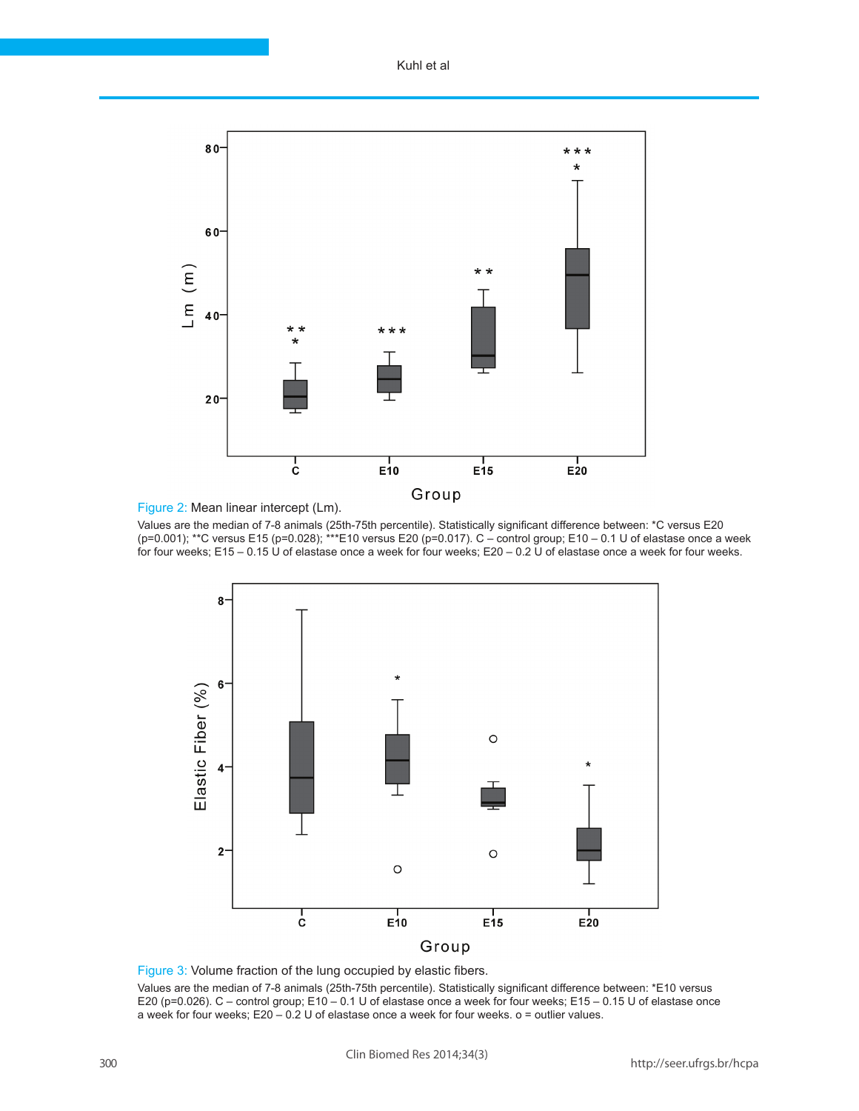Kuhl et al





Values are the median of 7-8 animals (25th-75th percentile). Statistically significant difference between: \*C versus E20 (p=0.001); \*\*C versus E15 (p=0.028); \*\*\*E10 versus E20 (p=0.017). C – control group; E10 – 0.1 U of elastase once a week for four weeks; E15 – 0.15 U of elastase once a week for four weeks; E20 – 0.2 U of elastase once a week for four weeks.



Figure 3: Volume fraction of the lung occupied by elastic fibers.

Values are the median of 7-8 animals (25th-75th percentile). Statistically significant difference between: \*E10 versus E20 (p=0.026). C – control group; E10 – 0.1 U of elastase once a week for four weeks; E15 – 0.15 U of elastase once a week for four weeks; E20 – 0.2 U of elastase once a week for four weeks. ο = outlier values.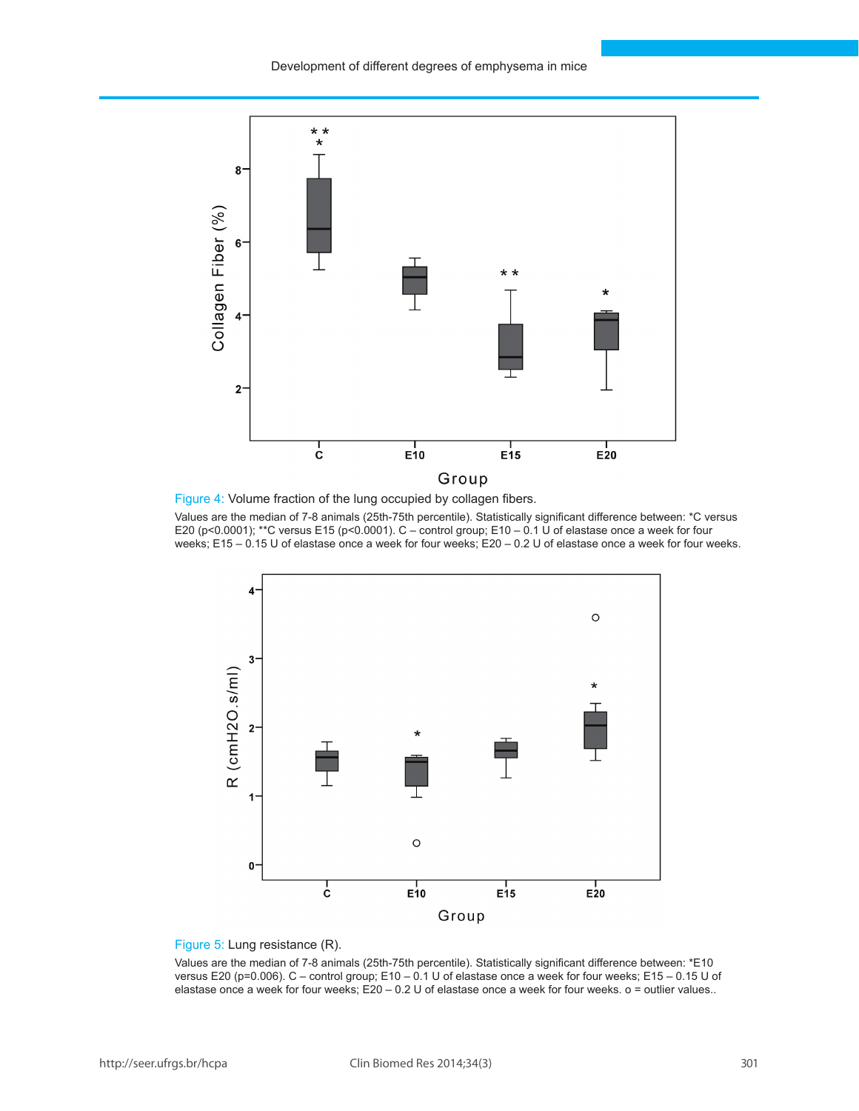

Figure 4: Volume fraction of the lung occupied by collagen fibers.

Values are the median of 7-8 animals (25th-75th percentile). Statistically significant difference between: \*C versus E20 (p<0.0001); \*\*C versus E15 (p<0.0001). C – control group; E10 – 0.1 U of elastase once a week for four weeks; E15 – 0.15 U of elastase once a week for four weeks; E20 – 0.2 U of elastase once a week for four weeks.



### Figure 5: Lung resistance (R).

Values are the median of 7-8 animals (25th-75th percentile). Statistically significant difference between: \*E10 versus E20 (p=0.006). C – control group; E10 – 0.1 U of elastase once a week for four weeks; E15 – 0.15 U of elastase once a week for four weeks; E20 – 0.2 U of elastase once a week for four weeks. ο = outlier values..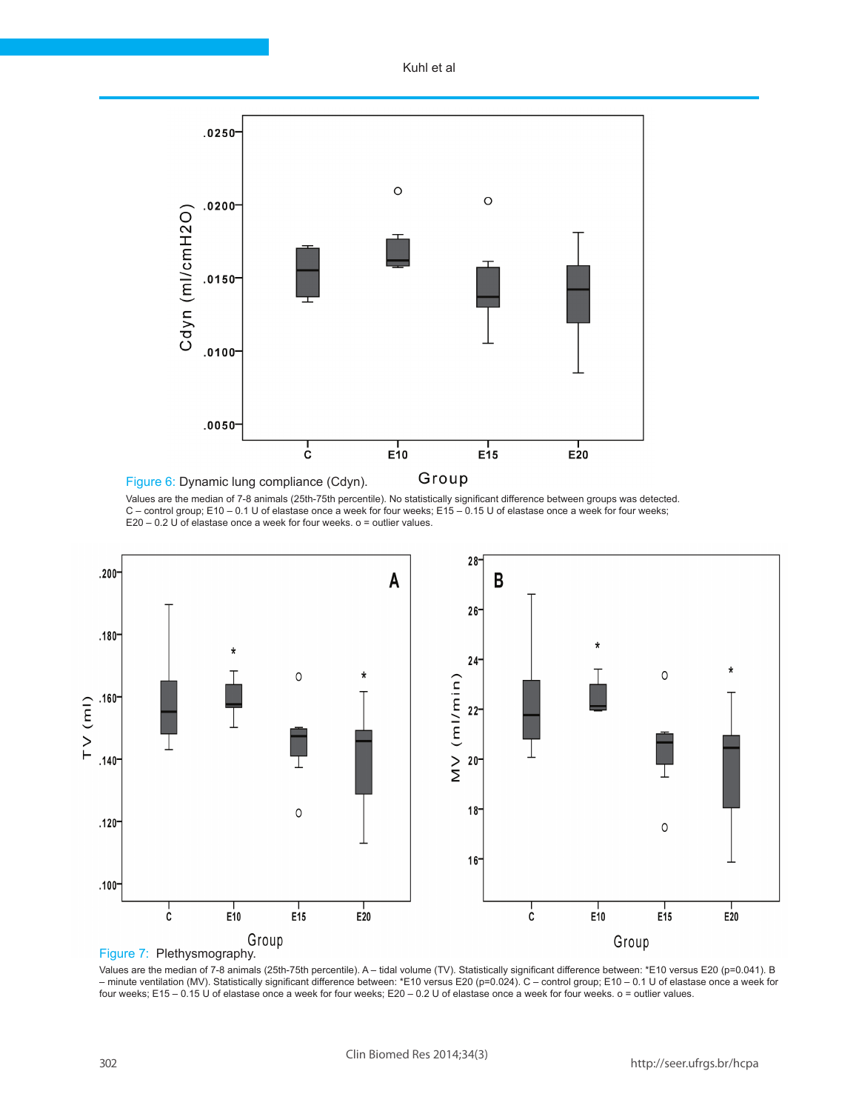Kuhl et al



Values are the median of 7-8 animals (25th-75th percentile). No statistically significant difference between groups was detected. C – control group; E10 – 0.1 U of elastase once a week for four weeks; E15 – 0.15 U of elastase once a week for four weeks; E20 – 0.2 U of elastase once a week for four weeks. ο = outlier values.





Values are the median of 7-8 animals (25th-75th percentile). A – tidal volume (TV). Statistically significant difference between: \*E10 versus E20 (p=0.041). B – minute ventilation (MV). Statistically significant difference between: \*E10 versus E20 (p=0.024). C – control group; E10 – 0.1 U of elastase once a week for four weeks; E15 – 0.15 U of elastase once a week for four weeks; E20 – 0.2 U of elastase once a week for four weeks. ο = outlier values.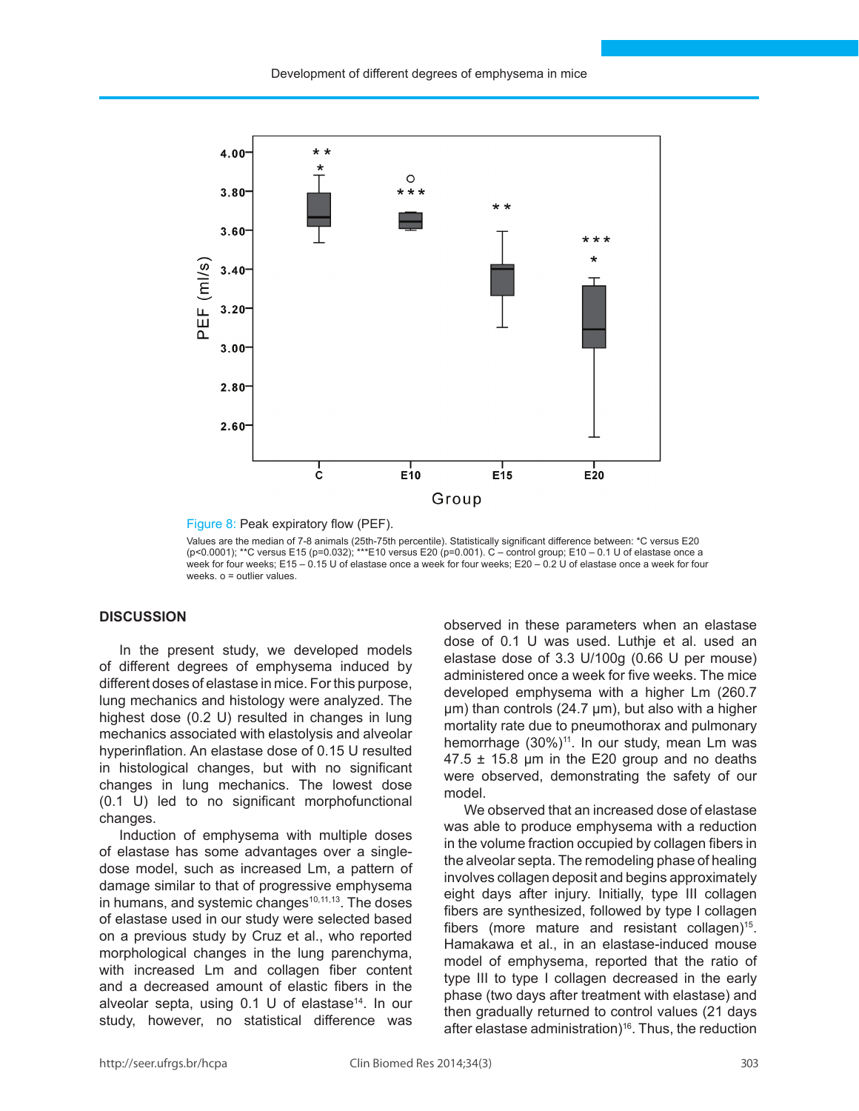

Figure 8: Peak expiratory flow (PEF).

Values are the median of 7-8 animals (25th-75th percentile). Statistically significant difference between: \*C versus E20 (p<0.0001); \*\*C versus E15 (p=0.032); \*\*\*E10 versus E20 (p=0.001). C – control group; E10 – 0.1 U of elastase once a week for four weeks; E15 – 0.15 U of elastase once a week for four weeks; E20 – 0.2 U of elastase once a week for four weeks. ο = outlier values.

# **Discussion**

In the present study, we developed models of different degrees of emphysema induced by different doses of elastase in mice. For this purpose, lung mechanics and histology were analyzed. The highest dose (0.2 U) resulted in changes in lung mechanics associated with elastolysis and alveolar hyperinflation. An elastase dose of 0.15 U resulted in histological changes, but with no significant changes in lung mechanics. The lowest dose (0.1 U) led to no significant morphofunctional changes.

Induction of emphysema with multiple doses of elastase has some advantages over a singledose model, such as increased Lm, a pattern of damage similar to that of progressive emphysema in humans, and systemic changes<sup>10,11,13</sup>. The doses of elastase used in our study were selected based on a previous study by Cruz et al., who reported morphological changes in the lung parenchyma, with increased Lm and collagen fiber content and a decreased amount of elastic fibers in the alveolar septa, using  $0.1$  U of elastase<sup>14</sup>. In our study, however, no statistical difference was

observed in these parameters when an elastase dose of 0.1 U was used. Luthje et al. used an elastase dose of 3.3 U/100g (0.66 U per mouse) administered once a week for five weeks. The mice developed emphysema with a higher Lm (260.7 μm) than controls (24.7 µm), but also with a higher mortality rate due to pneumothorax and pulmonary hemorrhage  $(30\%)^{11}$ . In our study, mean Lm was  $47.5 \pm 15.8$  µm in the E20 group and no deaths were observed, demonstrating the safety of our model.

We observed that an increased dose of elastase was able to produce emphysema with a reduction in the volume fraction occupied by collagen fibers in the alveolar septa. The remodeling phase of healing involves collagen deposit and begins approximately eight days after injury. Initially, type III collagen fibers are synthesized, followed by type I collagen fibers (more mature and resistant collagen)<sup>15</sup>. Hamakawa et al., in an elastase-induced mouse model of emphysema, reported that the ratio of type III to type I collagen decreased in the early phase (two days after treatment with elastase) and then gradually returned to control values (21 days after elastase administration)<sup>16</sup>. Thus, the reduction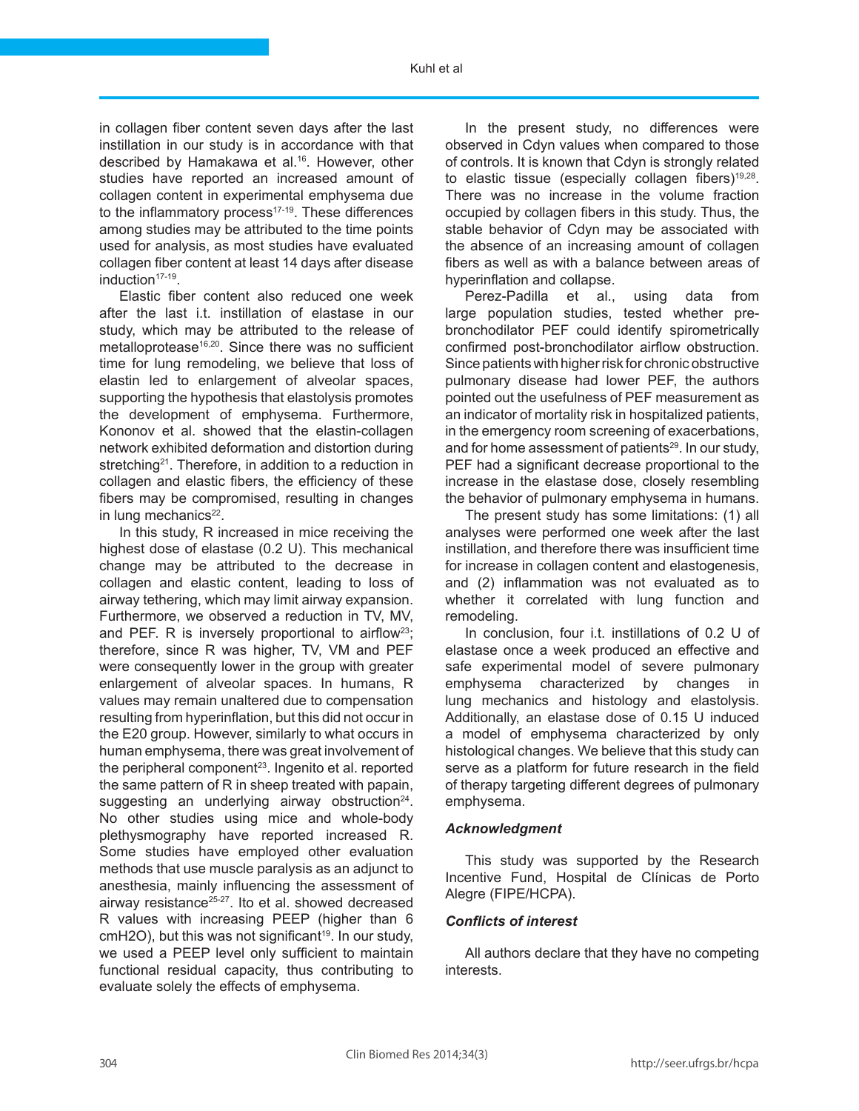in collagen fiber content seven days after the last instillation in our study is in accordance with that described by Hamakawa et al.<sup>16</sup>. However, other studies have reported an increased amount of collagen content in experimental emphysema due to the inflammatory process $17-19$ . These differences among studies may be attributed to the time points used for analysis, as most studies have evaluated collagen fiber content at least 14 days after disease induction<sup>17-19</sup>.

Elastic fiber content also reduced one week after the last i.t. instillation of elastase in our study, which may be attributed to the release of metalloprotease<sup>16,20</sup>. Since there was no sufficient time for lung remodeling, we believe that loss of elastin led to enlargement of alveolar spaces, supporting the hypothesis that elastolysis promotes the development of emphysema. Furthermore, Kononov et al. showed that the elastin-collagen network exhibited deformation and distortion during stretching<sup>21</sup>. Therefore, in addition to a reduction in collagen and elastic fibers, the efficiency of these fibers may be compromised, resulting in changes in lung mechanics $22$ .

In this study, R increased in mice receiving the highest dose of elastase (0.2 U). This mechanical change may be attributed to the decrease in collagen and elastic content, leading to loss of airway tethering, which may limit airway expansion. Furthermore, we observed a reduction in TV, MV, and PEF. R is inversely proportional to airflow<sup>23</sup>; therefore, since R was higher, TV, VM and PEF were consequently lower in the group with greater enlargement of alveolar spaces. In humans, R values may remain unaltered due to compensation resulting from hyperinflation, but this did not occur in the E20 group. However, similarly to what occurs in human emphysema, there was great involvement of the peripheral component<sup>23</sup>. Ingenito et al. reported the same pattern of R in sheep treated with papain, suggesting an underlying airway obstruction $24$ . No other studies using mice and whole-body plethysmography have reported increased R. Some studies have employed other evaluation methods that use muscle paralysis as an adjunct to anesthesia, mainly influencing the assessment of airway resistance<sup>25-27</sup>. Ito et al. showed decreased R values with increasing PEEP (higher than 6  $cmH2O$ ), but this was not significant<sup>19</sup>. In our study, we used a PEEP level only sufficient to maintain functional residual capacity, thus contributing to evaluate solely the effects of emphysema.

In the present study, no differences were observed in Cdyn values when compared to those of controls. It is known that Cdyn is strongly related to elastic tissue (especially collagen fibers)<sup>19,28</sup>. There was no increase in the volume fraction occupied by collagen fibers in this study. Thus, the stable behavior of Cdyn may be associated with the absence of an increasing amount of collagen fibers as well as with a balance between areas of hyperinflation and collapse.

Perez-Padilla et al., using data from large population studies, tested whether prebronchodilator PEF could identify spirometrically confirmed post-bronchodilator airflow obstruction. Since patients with higher risk for chronic obstructive pulmonary disease had lower PEF, the authors pointed out the usefulness of PEF measurement as an indicator of mortality risk in hospitalized patients, in the emergency room screening of exacerbations, and for home assessment of patients<sup>29</sup>. In our study, PEF had a significant decrease proportional to the increase in the elastase dose, closely resembling the behavior of pulmonary emphysema in humans.

The present study has some limitations: (1) all analyses were performed one week after the last instillation, and therefore there was insufficient time for increase in collagen content and elastogenesis, and (2) inflammation was not evaluated as to whether it correlated with lung function and remodeling.

In conclusion, four i.t. instillations of 0.2 U of elastase once a week produced an effective and safe experimental model of severe pulmonary emphysema characterized by changes in lung mechanics and histology and elastolysis. Additionally, an elastase dose of 0.15 U induced a model of emphysema characterized by only histological changes. We believe that this study can serve as a platform for future research in the field of therapy targeting different degrees of pulmonary emphysema.

# *Acknowledgment*

This study was supported by the Research Incentive Fund, Hospital de Clínicas de Porto Alegre (FIPE/HCPA).

# *Conflicts of interest*

All authors declare that they have no competing interests.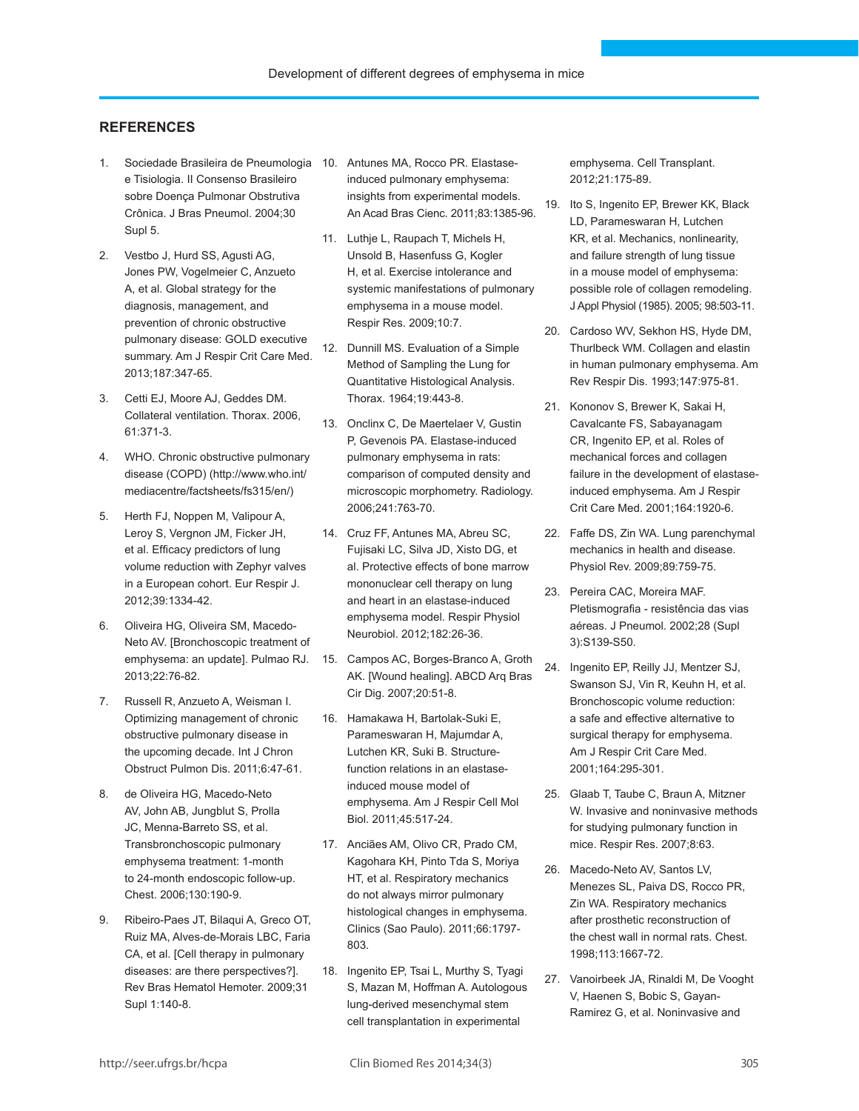## **References**

- 1. Sociedade Brasileira de Pneumologia 10. Antunes MA, Rocco PR. Elastasee Tisiologia. II Consenso Brasileiro sobre Doença Pulmonar Obstrutiva Crônica. J Bras Pneumol. 2004;30 Supl 5.
- 2. Vestbo J, Hurd SS, Agusti AG, Jones PW, Vogelmeier C, Anzueto A, et al. Global strategy for the diagnosis, management, and prevention of chronic obstructive pulmonary disease: GOLD executive summary. Am J Respir Crit Care Med. 2013;187:347-65.
- 3. Cetti EJ, Moore AJ, Geddes DM. Collateral ventilation. Thorax. 2006, 61:371-3.
- 4. WHO. Chronic obstructive pulmonary disease (COPD) (http://www.who.int/ mediacentre/factsheets/fs315/en/)
- 5. Herth FJ, Noppen M, Valipour A, Leroy S, Vergnon JM, Ficker JH, et al. Efficacy predictors of lung volume reduction with Zephyr valves in a European cohort. Eur Respir J. 2012;39:1334-42.
- 6. Oliveira HG, Oliveira SM, Macedo-Neto AV. [Bronchoscopic treatment of emphysema: an update]. Pulmao RJ. 2013;22:76-82.
- 7. Russell R, Anzueto A, Weisman I. Optimizing management of chronic obstructive pulmonary disease in the upcoming decade. Int J Chron Obstruct Pulmon Dis. 2011;6:47-61.
- 8. de Oliveira HG, Macedo-Neto AV, John AB, Jungblut S, Prolla JC, Menna-Barreto SS, et al. Transbronchoscopic pulmonary emphysema treatment: 1-month to 24-month endoscopic follow-up. Chest. 2006;130:190-9.
- 9. Ribeiro-Paes JT, Bilaqui A, Greco OT, Ruiz MA, Alves-de-Morais LBC, Faria CA, et al. [Cell therapy in pulmonary diseases: are there perspectives?]. Rev Bras Hematol Hemoter. 2009;31 Supl 1:140-8.
- induced pulmonary emphysema: insights from experimental models. An Acad Bras Cienc. 2011;83:1385-96.
- 11. Luthje L, Raupach T, Michels H, Unsold B, Hasenfuss G, Kogler H, et al. Exercise intolerance and systemic manifestations of pulmonary emphysema in a mouse model. Respir Res. 2009;10:7.
- 12. Dunnill MS. Evaluation of a Simple Method of Sampling the Lung for Quantitative Histological Analysis. Thorax. 1964;19:443-8.
- 13. Onclinx C, De Maertelaer V, Gustin P, Gevenois PA. Elastase-induced pulmonary emphysema in rats: comparison of computed density and microscopic morphometry. Radiology. 2006;241:763-70.
- 14. Cruz FF, Antunes MA, Abreu SC, Fujisaki LC, Silva JD, Xisto DG, et al. Protective effects of bone marrow mononuclear cell therapy on lung and heart in an elastase-induced emphysema model. Respir Physiol Neurobiol. 2012;182:26-36.
- 15. Campos AC, Borges-Branco A, Groth AK. [Wound healing]. ABCD Arq Bras Cir Dig. 2007;20:51-8.
- 16. Hamakawa H, Bartolak-Suki E, Parameswaran H, Majumdar A, Lutchen KR, Suki B. Structurefunction relations in an elastaseinduced mouse model of emphysema. Am J Respir Cell Mol Biol. 2011;45:517-24.
- 17. Anciães AM, Olivo CR, Prado CM, Kagohara KH, Pinto Tda S, Moriya HT, et al. Respiratory mechanics do not always mirror pulmonary histological changes in emphysema. Clinics (Sao Paulo). 2011;66:1797- 803.
- 18. Ingenito EP, Tsai L, Murthy S, Tyagi S, Mazan M, Hoffman A. Autologous lung-derived mesenchymal stem cell transplantation in experimental

emphysema. Cell Transplant. 2012;21:175-89.

- 19. Ito S, Ingenito EP, Brewer KK, Black LD, Parameswaran H, Lutchen KR, et al. Mechanics, nonlinearity, and failure strength of lung tissue in a mouse model of emphysema: possible role of collagen remodeling. J Appl Physiol (1985). 2005; 98:503-11.
- 20. Cardoso WV, Sekhon HS, Hyde DM, Thurlbeck WM. Collagen and elastin in human pulmonary emphysema. Am Rev Respir Dis. 1993;147:975-81.
- 21. Kononov S, Brewer K, Sakai H, Cavalcante FS, Sabayanagam CR, Ingenito EP, et al. Roles of mechanical forces and collagen failure in the development of elastaseinduced emphysema. Am J Respir Crit Care Med. 2001;164:1920-6.
- 22. Faffe DS, Zin WA. Lung parenchymal mechanics in health and disease. Physiol Rev. 2009;89:759-75.
- 23. Pereira CAC, Moreira MAF. Pletismografia - resistência das vias aéreas. J Pneumol. 2002;28 (Supl 3):S139-S50.
- 24. Ingenito EP, Reilly JJ, Mentzer SJ, Swanson SJ, Vin R, Keuhn H, et al. Bronchoscopic volume reduction: a safe and effective alternative to surgical therapy for emphysema. Am J Respir Crit Care Med. 2001;164:295-301.
- 25. Glaab T, Taube C, Braun A, Mitzner W. Invasive and noninvasive methods for studying pulmonary function in mice. Respir Res. 2007;8:63.
- 26. Macedo-Neto AV, Santos LV, Menezes SL, Paiva DS, Rocco PR, Zin WA. Respiratory mechanics after prosthetic reconstruction of the chest wall in normal rats. Chest. 1998;113:1667-72.
- 27. Vanoirbeek JA, Rinaldi M, De Vooght V, Haenen S, Bobic S, Gayan-Ramirez G, et al. Noninvasive and